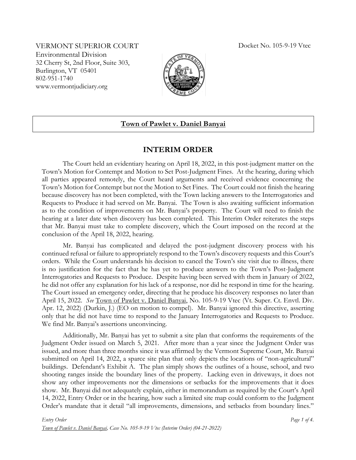VERMONT SUPERIOR COURT Docket No. 105-9-19 Vtec Environmental Division 32 Cherry St, 2nd Floor, Suite 303, Burlington, VT 05401 802-951-1740 www.vermontjudiciary.org



## **Town of Pawlet v. Daniel Banyai**

## **INTERIM ORDER**

The Court held an evidentiary hearing on April 18, 2022, in this post-judgment matter on the Town's Motion for Contempt and Motion to Set Post-Judgment Fines. At the hearing, during which all parties appeared remotely, the Court heard arguments and received evidence concerning the Town's Motion for Contempt but not the Motion to Set Fines. The Court could not finish the hearing because discovery has not been completed, with the Town lacking answers to the Interrogatories and Requests to Produce it had served on Mr. Banyai. The Town is also awaiting sufficient information as to the condition of improvements on Mr. Banyai's property. The Court will need to finish the hearing at a later date when discovery has been completed. This Interim Order reiterates the steps that Mr. Banyai must take to complete discovery, which the Court imposed on the record at the conclusion of the April 18, 2022, hearing.

Mr. Banyai has complicated and delayed the post-judgment discovery process with his continued refusal or failure to appropriately respond to the Town's discovery requests and this Court's orders. While the Court understands his decision to cancel the Town's site visit due to illness, there is no justification for the fact that he has yet to produce answers to the Town's Post-Judgment Interrogatories and Requests to Produce. Despite having been served with them in January of 2022, he did not offer any explanation for his lack of a response, nor did he respond in time for the hearing. The Court issued an emergency order, directing that he produce his discovery responses no later than April 15, 2022. *See* Town of Pawlet v. Daniel Banyai, No. 105-9-19 Vtec (Vt. Super. Ct. Envtl. Div. Apr. 12, 2022) (Durkin, J.) (EO on motion to compel). Mr. Banyai ignored this directive, asserting only that he did not have time to respond to the January Interrogatories and Requests to Produce. We find Mr. Banyai's assertions unconvincing.

Additionally, Mr. Banyai has yet to submit a site plan that conforms the requirements of the Judgment Order issued on March 5, 2021. After more than a year since the Judgment Order was issued, and more than three months since it was affirmed by the Vermont Supreme Court, Mr. Banyai submitted on April 14, 2022, a sparce site plan that only depicts the locations of "non-agricultural" buildings. Defendant's Exhibit A. The plan simply shows the outlines of a house, school, and two shooting ranges inside the boundary lines of the property. Lacking even in driveways, it does not show any other improvements nor the dimensions or setbacks for the improvements that it does show. Mr. Banyai did not adequately explain, either in memorandum as required by the Court's April 14, 2022, Entry Order or in the hearing, how such a limited site map could conform to the Judgment Order's mandate that it detail "all improvements, dimensions, and setbacks from boundary lines."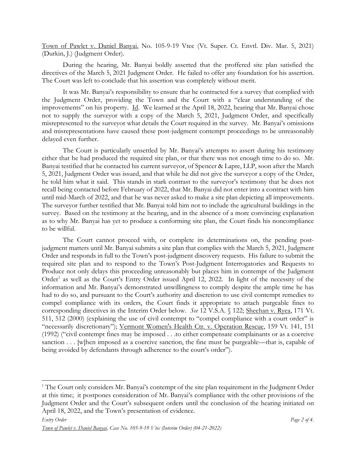Town of Pawlet v. Daniel Banyai, No. 105-9-19 Vtec (Vt. Super. Ct. Envtl. Div. Mar. 5, 2021) (Durkin, J.) (Judgment Order).

During the hearing, Mr. Banyai boldly asserted that the proffered site plan satisfied the directives of the March 5, 2021 Judgment Order. He failed to offer any foundation for his assertion. The Court was left to conclude that his assertion was completely without merit.

It was Mr. Banyai's responsibility to ensure that he contracted for a survey that complied with the Judgment Order, providing the Town and the Court with a "clear understanding of the improvements" on his property. Id. We learned at the April 18, 2022, hearing that Mr. Banyai chose not to supply the surveyor with a copy of the March 5, 2021, Judgment Order, and specifically misrepresented to the surveyor what details the Court required in the survey. Mr. Banyai's omissions and misrepresentations have caused these post-judgment contempt proceedings to be unreasonably delayed even further.

The Court is particularly unsettled by Mr. Banyai's attempts to assert during his testimony either that he had produced the required site plan, or that there was not enough time to do so. Mr. Banyai testified that he contacted his current surveyor, of Spencer & Lapre, LLP, soon after the March 5, 2021, Judgment Order was issued, and that while he did not give the surveyor a copy of the Order, he told him what it said. This stands in stark contrast to the surveyor's testimony that he does not recall being contacted before February of 2022, that Mr. Banyai did not enter into a contract with him until mid-March of 2022, and that he was never asked to make a site plan depicting all improvements. The surveyor further testified that Mr. Banyai told him not to include the agricultural buildings in the survey. Based on the testimony at the hearing, and in the absence of a more convincing explanation as to why Mr. Banyai has yet to produce a conforming site plan, the Court finds his noncompliance to be willful.

The Court cannot proceed with, or complete its determinations on, the pending postjudgment matters until Mr. Banyai submits a site plan that complies with the March 5, 2021, Judgment Order and responds in full to the Town's post-judgment discovery requests. His failure to submit the required site plan and to respond to the Town's Post-Judgment Interrogatories and Requests to Produce not only delays this proceeding unreasonably but places him in contempt of the Judgment Order<sup>1</sup> as well as the Court's Entry Order issued April 12, 2022. In light of the necessity of the information and Mr. Banyai's demonstrated unwillingness to comply despite the ample time he has had to do so, and pursuant to the Court's authority and discretion to use civil contempt remedies to compel compliance with its orders, the Court finds it appropriate to attach purgeable fines to corresponding directives in the Interim Order below. *See* 12 V.S.A. § 122; Sheehan v. Ryea, 171 Vt. 511, 512 (2000) (explaining the use of civil contempt to "compel compliance with a court order" is "necessarily discretionary"); Vermont Women's Health Ctr. v. Operation Rescue, 159 Vt. 141, 151 (1992) ("civil contempt fines may be imposed . . .to either compensate complainants or as a coercive sanction . . . [w]hen imposed as a coercive sanction, the fine must be purgeable—that is, capable of being avoided by defendants through adherence to the court's order").

<sup>&</sup>lt;sup>1</sup> The Court only considers Mr. Banyai's contempt of the site plan requirement in the Judgment Order at this time; it postpones consideration of Mr. Banyai's compliance with the other provisions of the Judgment Order and the Court's subsequent orders until the conclusion of the hearing initiated on April 18, 2022, and the Town's presentation of evidence.

*Town of Pawlet v. Daniel Banyai, Case No. 105-9-19 Vtec (Interim Order) (04-21-2022)*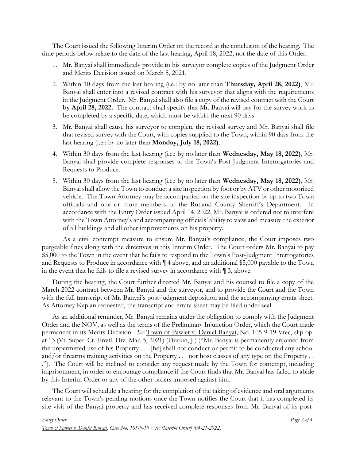The Court issued the following Interim Order on the record at the conclusion of the hearing. The time periods below relate to the date of the last hearing, April 18, 2022, not the date of this Order.

- 1. Mr. Banyai shall immediately provide to his surveyor complete copies of the Judgment Order and Merits Decision issued on March 5, 2021.
- 2. Within 10 days from the last hearing (i.e.: by no later than **Thursday, April 28, 2022)**, Mr. Banyai shall enter into a revised contract with his surveyor that aligns with the requirements in the Judgment Order. Mr. Banyai shall also file a copy of the revised contract with the Court **by April 28, 2022.** The contract shall specify that Mr. Banyai will pay for the survey work to be completed by a specific date, which must be within the next 90 days.
- 3. Mr. Banyai shall cause his surveyor to complete the revised survey and Mr. Banyai shall file that revised survey with the Court, with copies supplied to the Town, within 90 days from the last hearing (i.e.: by no later than **Monday, July 18, 2022)**.
- 4. Within 30 days from the last hearing (i.e.: by no later than **Wednesday, May 18, 2022)**, Mr. Banyai shall provide complete responses to the Town's Post-Judgment Interrogatories and Requests to Produce.
- 5. Within 30 days from the last hearing (i.e.: by no later than **Wednesday, May 18, 2022)**, Mr. Banyai shall allow the Town to conduct a site inspection by foot or by ATV or other motorized vehicle. The Town Attorney may be accompanied on the site inspection by up to two Town officials and one or more members of the Rutland County Sherriff's Department. In accordance with the Entry Order issued April 14, 2022, Mr. Banyai is ordered not to interfere with the Town Attorney's and accompanying officials' ability to view and measure the exterior of all buildings and all other improvements on his property.

As a civil contempt measure to ensure Mr. Banyai's compliance, the Court imposes two purgeable fines along with the directives in this Interim Order. The Court orders Mr. Banyai to pay \$5,000 to the Town in the event that he fails to respond to the Town's Post-Judgment Interrogatories and Requests to Produce in accordance with ¶ 4 above, and an additional \$5,000 payable to the Town in the event that he fails to file a revised survey in accordance with ¶ 3, above.

During the hearing, the Court further directed Mr. Banyai and his counsel to file a copy of the March 2022 contract between Mr. Banyai and the surveyor, and to provide the Court and the Town with the full transcript of Mr. Banyai's post-judgment deposition and the accompanying errata sheet. As Attorney Kaplan requested, the transcript and errata sheet may be filed under seal.

As an additional reminder, Mr. Banyai remains under the obligation to comply with the Judgment Order and the NOV, as well as the terms of the Preliminary Injunction Order, which the Court made permanent in its Merits Decision. *See* Town of Pawlet v. Daniel Banyai, No. 105-9-19 Vtec, slip op. at 13 (Vt. Super. Ct. Envtl. Div. Mar. 5, 2021) (Durkin, J.) ("Mr. Banyai is permanently enjoined from the unpermitted use of his Property . . . [he] shall not conduct or permit to be conducted any school and/or firearms training activities on the Property . . . nor host classes of any type on the Property . . ."). The Court will be inclined to consider any request made by the Town for contempt, including imprisonment, in order to encourage compliance if the Court finds that Mr. Banyai has failed to abide by this Interim Order or any of the other orders imposed against him.

The Court will schedule a hearing for the completion of the taking of evidence and oral arguments relevant to the Town's pending motions once the Town notifies the Court that it has completed its site visit of the Banyai property and has received complete responses from Mr. Banyai of its post